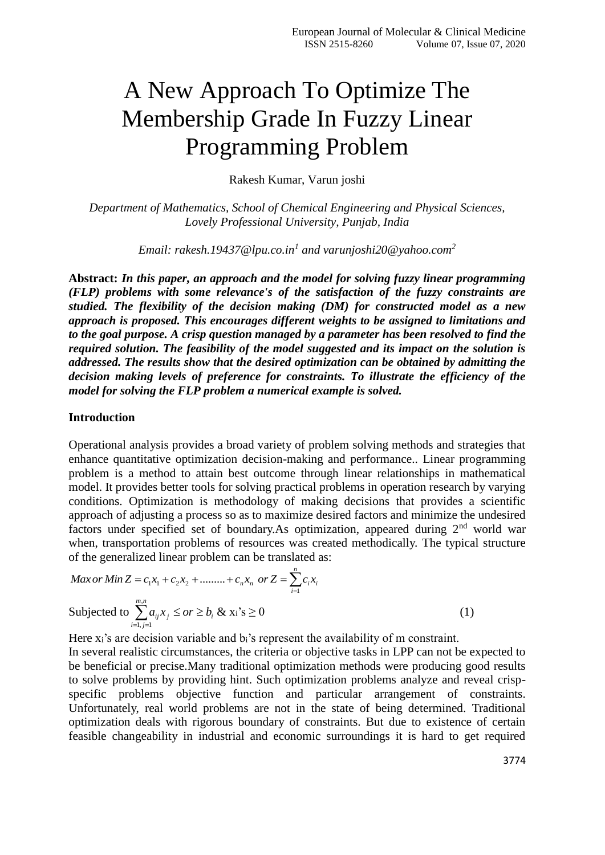# A New Approach To Optimize The Membership Grade In Fuzzy Linear Programming Problem

Rakesh Kumar, Varun joshi

*Department of Mathematics, School of Chemical Engineering and Physical Sciences, Lovely Professional University, Punjab, India*

*Email: rakesh.19437@lpu.co.in<sup>1</sup> and varunjoshi20@yahoo.com<sup>2</sup>*

**Abstract:** *In this paper, an approach and the model for solving fuzzy linear programming (FLP) problems with some relevance's of the satisfaction of the fuzzy constraints are studied. The flexibility of the decision making (DM) for constructed model as a new approach is proposed. This encourages different weights to be assigned to limitations and to the goal purpose. A crisp question managed by a parameter has been resolved to find the required solution. The feasibility of the model suggested and its impact on the solution is addressed. The results show that the desired optimization can be obtained by admitting the decision making levels of preference for constraints. To illustrate the efficiency of the model for solving the FLP problem a numerical example is solved.*

## **Introduction**

Operational analysis provides a broad variety of problem solving methods and strategies that enhance quantitative optimization decision-making and performance.. Linear programming problem is a method to attain best outcome through linear relationships in mathematical model. It provides better tools for solving practical problems in operation research by varying conditions. Optimization is methodology of making decisions that provides a scientific approach of adjusting a process so as to maximize desired factors and minimize the undesired factors under specified set of boundary. As optimization, appeared during  $2<sup>nd</sup>$  world war when, transportation problems of resources was created methodically. The typical structure of the generalized linear problem can be translated as:

$$
Max or Min Z = c_1 x_1 + c_2 x_2 + \dots + c_n x_n \text{ or } Z = \sum_{i=1}^n c_i x_i
$$
  
Subjected to 
$$
\sum_{i=1, j=1}^{m,n} a_{ij} x_j \leq or \geq b_i \& x_i \leq 0
$$
 (1)

Here  $x_i$ 's are decision variable and  $b_i$ 's represent the availability of m constraint.

In several realistic circumstances, the criteria or objective tasks in LPP can not be expected to be beneficial or precise.Many traditional optimization methods were producing good results to solve problems by providing hint. Such optimization problems analyze and reveal crispspecific problems objective function and particular arrangement of constraints. Unfortunately, real world problems are not in the state of being determined. Traditional optimization deals with rigorous boundary of constraints. But due to existence of certain feasible changeability in industrial and economic surroundings it is hard to get required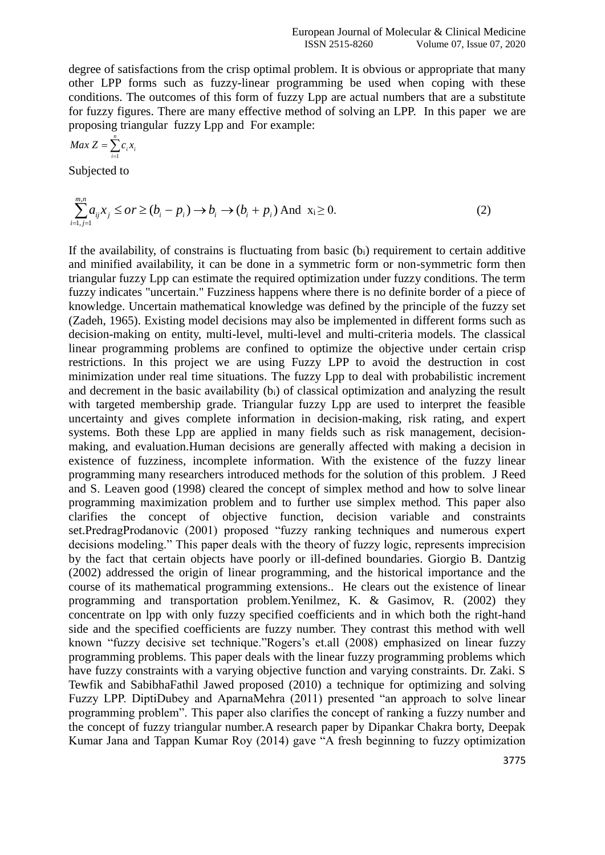degree of satisfactions from the crisp optimal problem. It is obvious or appropriate that many other LPP forms such as fuzzy-linear programming be used when coping with these conditions. The outcomes of this form of fuzzy Lpp are actual numbers that are a substitute for fuzzy figures. There are many effective method of solving an LPP. In this paper we are proposing triangular fuzzy Lpp and For example:

$$
Max Z = \sum_{i=1}^{n} c_i x_i
$$

Subjected to

$$
\sum_{i=1, j=1}^{m,n} a_{ij} x_j \leq or \geq (b_i - p_i) \to b_i \to (b_i + p_i) \text{ And } x_i \geq 0.
$$
 (2)

If the availability, of constrains is fluctuating from basic  $(b<sub>i</sub>)$  requirement to certain additive and minified availability, it can be done in a symmetric form or non-symmetric form then triangular fuzzy Lpp can estimate the required optimization under fuzzy conditions. The term fuzzy indicates "uncertain." Fuzziness happens where there is no definite border of a piece of knowledge. Uncertain mathematical knowledge was defined by the principle of the fuzzy set (Zadeh, 1965). Existing model decisions may also be implemented in different forms such as decision-making on entity, multi-level, multi-level and multi-criteria models. The classical linear programming problems are confined to optimize the objective under certain crisp restrictions. In this project we are using Fuzzy LPP to avoid the destruction in cost minimization under real time situations. The fuzzy Lpp to deal with probabilistic increment and decrement in the basic availability (b<sub>i</sub>) of classical optimization and analyzing the result with targeted membership grade. Triangular fuzzy Lpp are used to interpret the feasible uncertainty and gives complete information in decision-making, risk rating, and expert systems. Both these Lpp are applied in many fields such as risk management, decisionmaking, and evaluation.Human decisions are generally affected with making a decision in existence of fuzziness, incomplete information. With the existence of the fuzzy linear programming many researchers introduced methods for the solution of this problem. J Reed and S. Leaven good (1998) cleared the concept of simplex method and how to solve linear programming maximization problem and to further use simplex method. This paper also clarifies the concept of objective function, decision variable and constraints set.PredragProdanovic (2001) proposed "fuzzy ranking techniques and numerous expert decisions modeling." This paper deals with the theory of fuzzy logic, represents imprecision by the fact that certain objects have poorly or ill-defined boundaries. Giorgio B. Dantzig (2002) addressed the origin of linear programming, and the historical importance and the course of its mathematical programming extensions.. He clears out the existence of linear programming and transportation problem.Yenilmez, K. & Gasimov, R. (2002) they concentrate on lpp with only fuzzy specified coefficients and in which both the right-hand side and the specified coefficients are fuzzy number. They contrast this method with well known "fuzzy decisive set technique."Rogers's et.all (2008) emphasized on linear fuzzy programming problems. This paper deals with the linear fuzzy programming problems which have fuzzy constraints with a varying objective function and varying constraints. Dr. Zaki. S Tewfik and SabibhaFathil Jawed proposed (2010) a technique for optimizing and solving Fuzzy LPP. DiptiDubey and AparnaMehra (2011) presented "an approach to solve linear programming problem". This paper also clarifies the concept of ranking a fuzzy number and the concept of fuzzy triangular number.A research paper by Dipankar Chakra borty, Deepak Kumar Jana and Tappan Kumar Roy (2014) gave "A fresh beginning to fuzzy optimization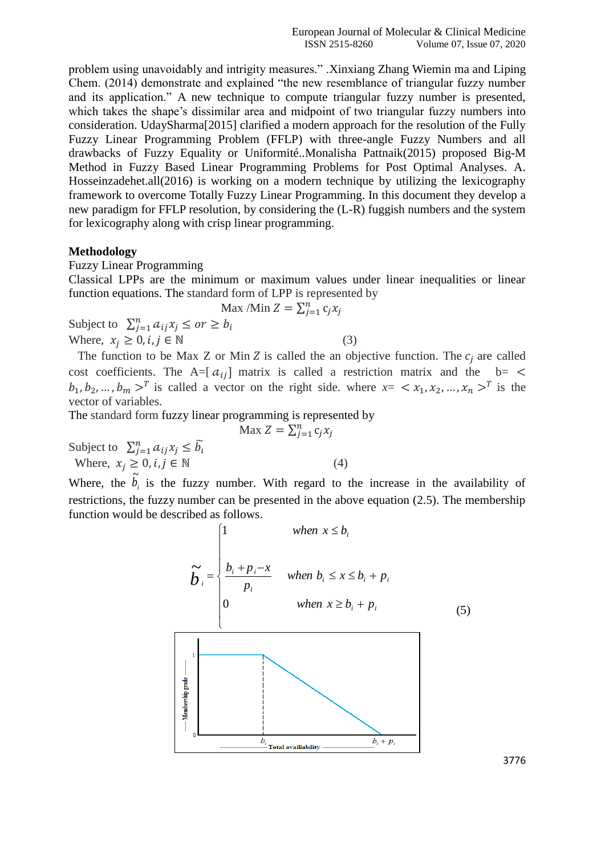problem using unavoidably and intrigity measures." .Xinxiang Zhang Wiemin ma and Liping Chem. (2014) demonstrate and explained "the new resemblance of triangular fuzzy number and its application." A new technique to compute triangular fuzzy number is presented, which takes the shape's dissimilar area and midpoint of two triangular fuzzy numbers into consideration. UdaySharma[2015] clarified a modern approach for the resolution of the Fully Fuzzy Linear Programming Problem (FFLP) with three-angle Fuzzy Numbers and all drawbacks of Fuzzy Equality or Uniformité..Monalisha Pattnaik(2015) proposed Big-M Method in Fuzzy Based Linear Programming Problems for Post Optimal Analyses. A. Hosseinzadehet.all(2016) is working on a modern technique by utilizing the lexicography framework to overcome Totally Fuzzy Linear Programming. In this document they develop a new paradigm for FFLP resolution, by considering the (L-R) fuggish numbers and the system for lexicography along with crisp linear programming.

### **Methodology**

Fuzzy Linear Programming

Classical LPPs are the minimum or maximum values under linear inequalities or linear function equations. The standard form of LPP is represented by

$$
\text{Max } / \text{Min } Z = \sum_{j=1}^{n} c_j x_j
$$

Subject to  $\sum_{j=1}^{n} a_{ij} x_j \leq or \geq b_i$ Where,  $x_i \geq 0, i, j \in \mathbb{N}$  (3)

The function to be Max Z or Min Z is called the an objective function. The  $c_i$  are called cost coefficients. The A=[ $a_{ij}$ ] matrix is called a restriction matrix and the b= <  $b_1, b_2, ..., b_m >^T$  is called a vector on the right side. where  $x = \langle x_1, x_2, ..., x_n \rangle^T$  is the vector of variables.

The standard form fuzzy linear programming is represented by

$$
\text{Max } Z = \sum_{j=1}^{n} c_j x_j
$$
\n
$$
\text{Where, } x_j \ge 0, i, j \in \mathbb{N} \tag{4}
$$

Where, the  $b_i$  $\tilde{b}_i$  is the fuzzy number. With regard to the increase in the availability of restrictions, the fuzzy number can be presented in the above equation (2.5). The membership function would be described as follows.

$$
\widetilde{b}_{i} = \begin{cases}\n1 & \text{when } x \leq b_{i} \\
\frac{b_{i} + p_{i} - x}{p_{i}} & \text{when } b_{i} \leq x \leq b_{i} + p_{i} \\
0 & \text{when } x \geq b_{i} + p_{i}\n\end{cases}
$$
\n(5)



3776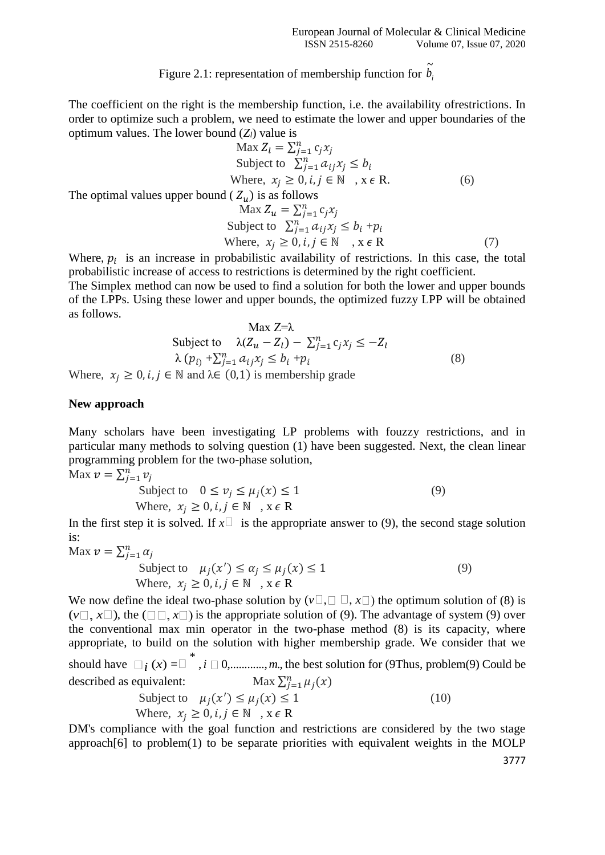#### Figure 2.1: representation of membership function for  $b_i$  $\tilde{L}$

The coefficient on the right is the membership function, i.e. the availability ofrestrictions. In order to optimize such a problem, we need to estimate the lower and upper boundaries of the optimum values. The lower bound  $(Z_l)$  value is

$$
\text{Max } Z_l = \sum_{j=1}^n c_j x_j
$$
\n
$$
\text{Subject to } \sum_{j=1}^n a_{ij} x_j \le b_i
$$
\n
$$
\text{Where, } x_j \ge 0, i, j \in \mathbb{N} \text{ , } x \in \mathbb{R}.
$$
\n
$$
\text{The optimal values upper bound } (Z_u) \text{ is as follows}
$$
\n
$$
\text{Max } Z_u = \sum_{j=1}^n c_j x_j
$$
\n
$$
\text{Subject to } \sum_{j=1}^n a_{ij} x_j \le b_i + p_i
$$
\n
$$
\text{Where, } x_j \ge 0, i, j \in \mathbb{N} \text{ , } x \in \mathbb{R}
$$
\n
$$
(7)
$$

Where,  $p_i$  is an increase in probabilistic availability of restrictions. In this case, the total probabilistic increase of access to restrictions is determined by the right coefficient. The Simplex method can now be used to find a solution for both the lower and upper bounds of the LPPs. Using these lower and upper bounds, the optimized fuzzy LPP will be obtained

as follows.  
\n
$$
\text{Max } Z = \lambda
$$
\n
$$
\text{Subject to } \lambda(Z_u - Z_l) - \sum_{j=1}^n c_j x_j \le -Z_l
$$
\n
$$
\lambda(p_i) + \sum_{j=1}^n a_{ij} x_j \le b_i + p_i
$$
\n
$$
(8)
$$

Where,  $x_i \geq 0$ , i,  $j \in \mathbb{N}$  and  $\lambda \in (0,1)$  is membership grade

#### **New approach**

Many scholars have been investigating LP problems with fouzzy restrictions, and in particular many methods to solving question (1) have been suggested. Next, the clean linear programming problem for the two-phase solution,

Max  $v = \sum_{j=1}^n v_j$ Subject to  $0 \le v_j \le \mu_j(x) \le 1$  (9) Where,  $x_i \geq 0$ ,  $i, j \in \mathbb{N}$ ,  $x \in \mathbb{R}$ 

In the first step it is solved. If  $x \Box$  is the appropriate answer to (9), the second stage solution is:

Max  $v = \sum_{j=1}^n \alpha_j$ 

$$
\text{Subject to } \mu_j(x') \le \alpha_j \le \mu_j(x) \le 1 \tag{9}
$$
\n
$$
\text{Where, } x_j \ge 0, i, j \in \mathbb{N} \text{ , } x \in \mathbb{R}
$$

We now define the ideal two-phase solution by  $(v \square, \square \square, x \square)$  the optimum solution of (8) is  $(v\Box, x\Box)$ , the  $(\Box\Box, x\Box)$  is the appropriate solution of (9). The advantage of system (9) over the conventional max min operator in the two-phase method (8) is its capacity, where appropriate, to build on the solution with higher membership grade. We consider that we should have  $\Box_i(x) = \Box_{i \in I}^*$ ,  $i \Box 0, \ldots, m$ , the best solution for (9Thus, problem(9) Could be described as equivalent: Max  $\sum_{j=1}^{n} \mu_j(x)$ Subject to  $\mu_j(x') \leq \mu_j(x) \leq 1$  (10)

Subject to 
$$
\mu_j(x') \leq \mu_j(x) \leq 1
$$
  
Where,  $x_j \geq 0, i, j \in \mathbb{N}$ ,  $x \in \mathbb{R}$ 

DM's compliance with the goal function and restrictions are considered by the two stage approach[6] to problem(1) to be separate priorities with equivalent weights in the MOLP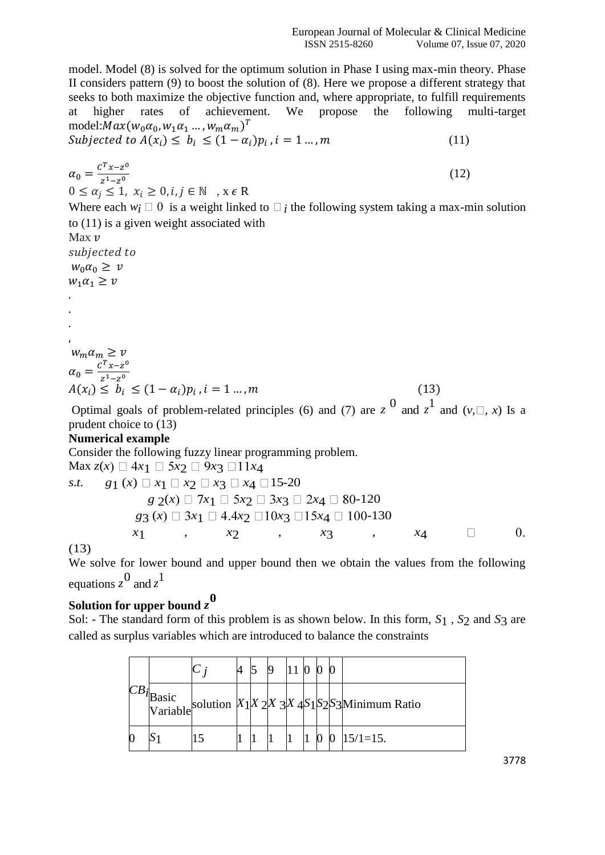model. Model (8) is solved for the optimum solution in Phase I using max-min theory. Phase II considers pattern (9) to boost the solution of (8). Here we propose a different strategy that seeks to both maximize the objective function and, where appropriate, to fulfill requirements at higher rates of achievement. We propose the following multi-target model: $Max(w_0\alpha_0, w_1\alpha_1\ldots, w_m\alpha_m)^T$ Subjected to  $A(x_i)$  ≤  $b_i$  ≤  $(1 - a_i)p_i$ ,  $i = 1, ..., m$  (11)

$$
\alpha_0 = \frac{c^T x - z^0}{z^1 - z^0}
$$
\n
$$
0 \le \alpha_j \le 1, x_i \ge 0, i, j \in \mathbb{N}, x \in \mathbb{R}
$$
\nWhere each  $w_i \square 0$  is a weight linked to  $\square_i$  the following system taking a max-min solution to (11) is a given weight associated with\n\n
$$
\begin{aligned}\n\text{Max } v &\text{subjected to} \\
w_0 \alpha_0 &\ge v \\
w_1 \alpha_1 &\ge v\n\end{aligned}
$$
\n
$$
\begin{aligned}\n\therefore \\
w_m \alpha_m &\ge v \\
A(x_i) &\le b_i \le (1 - \alpha_i) p_i, i = 1 \dots, m \\
\text{Optimal goals of problem-related principles (6) and (7) are } z^0 \text{ and } z^1 \text{ and } (v, \square, x) \text{ Is a } z.\n\end{aligned}
$$

prudent choice to (13)

# **Numerical example**

Consider the following fuzzy linear programming problem.

 $\text{Max } z(x) \Box 4x_1 \Box 5x_2 \Box 9x_3 \Box 11x_4$ *s.t. g*<sub>1</sub> (*x*)  $x_1 \square x_2 \square x_3 \square x_4 \square 15-20$  $g \, 2(x) \Box \, 7x_1 \Box \, 5x_2 \Box \, 3x_3 \Box \, 2x_4 \Box \, 80 - 120$  $g_3(x) \square 3x_1 \square 4.4x_2 \square 10x_3 \square 15x_4 \square 100-130$  *x*1 , *x*2 , *x*3 , *x*4  $\Box$  $\overline{0}$ .

(13)

We solve for lower bound and upper bound then we obtain the values from the following equations  $z^0$  and  $z^1$ 

# **Solution for upper bound** *z* **0**

Sol: - The standard form of this problem is as shown below. In this form, *S*1 , *S*2 and *S*3 are called as surplus variables which are introduced to balance the constraints

|  |  |  |  |  | $\begin{vmatrix} CB_1 \end{vmatrix}$ Basic<br>Variable solution $x_1/x_2x_3/x_4s_1s_2s_3$ Minimum Ratio |
|--|--|--|--|--|---------------------------------------------------------------------------------------------------------|
|  |  |  |  |  | $15/1=15$ .                                                                                             |

3778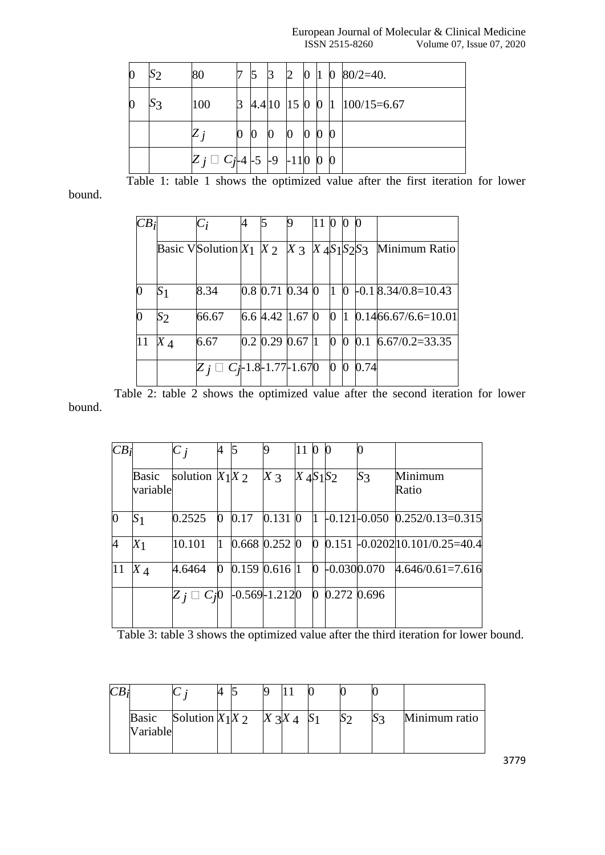### European Journal of Molecular & Clinical Medicine<br>ISSN 2515-8260 Volume 07, Issue 07, 2020 Volume 07, Issue 07, 2020

| $\boldsymbol{0}$ | $\mathcal{S}_{2}$ | 80                                 |                  | 5 | ß             | $\overline{2}$   | $\bf{0}$         | 11 | $\bf{0}$ | $80/2 = 40$ .           |
|------------------|-------------------|------------------------------------|------------------|---|---------------|------------------|------------------|----|----------|-------------------------|
| $\bf{0}$         | S3                | 100                                | 3                |   | 4.4 10 15 0 0 |                  |                  |    |          | $1 \quad 100/15 = 6.67$ |
|                  |                   |                                    | $\boldsymbol{0}$ | 0 |               | $\boldsymbol{0}$ | $\boldsymbol{0}$ |    |          |                         |
|                  |                   | $Z_j \square C_{j-4}$ -5 -9 -110 0 |                  |   |               |                  |                  |    | $\bf{0}$ |                         |

Table 1: table 1 shows the optimized value after the first iteration for lower

bound.

| CB <sub>i</sub> |                | $C_i$                                                      | 4 |                   |                       | 11 0 0   |           |              | $\bf{0}$ |                       |
|-----------------|----------------|------------------------------------------------------------|---|-------------------|-----------------------|----------|-----------|--------------|----------|-----------------------|
|                 |                | Basic VS olution $X_1$ $X_2$ $X_3$ $X_4$ $S_1$ $S_2$ $S_3$ |   |                   |                       |          |           |              |          | Minimum Ratio         |
|                 |                |                                                            |   |                   |                       |          |           |              |          |                       |
| $\overline{0}$  | S <sub>1</sub> | 8.34                                                       |   |                   | $0.8$ 0.71 $0.34$ 0   |          | $\vert$ 1 | $\mathbf{0}$ |          | $-0.1$ 8.34/0.8=10.43 |
| 0               | $S_2$          | 66.67                                                      |   | $6.6$ 4.42   1.67 |                       | $\bf{0}$ | O.        | $\mathbf l$  |          | $0.1466.67/6.6=10.01$ |
| 11              | $X_4$          | 6.67                                                       |   | $0.2$ 0.29 $0.67$ |                       |          | $\bf{0}$  | $\mathbf{0}$ |          | $0.1$ 6.67/0.2=33.35  |
|                 |                |                                                            |   |                   | $C_1$ -1.8-1.77-1.670 |          | $\bf{0}$  | $\bf{0}$     | 0.74     |                       |

 Table 2: table 2 shows the optimized value after the second iteration for lower bound.

| $CB_i$         |                   | $C_{i}$           | 4            | 15   |                   | 11 0        |                | Ю             |       |                                                                     |
|----------------|-------------------|-------------------|--------------|------|-------------------|-------------|----------------|---------------|-------|---------------------------------------------------------------------|
|                | Basic<br>variable | solution $X_1X_2$ |              |      | $X \gtrsim$       | $X_4S_1S_2$ |                |               | $S_3$ | Minimum<br>Ratio                                                    |
| $\bf{0}$       | S <sub>1</sub>    | 0.2525            | $\mathbf{0}$ | 0.17 | $0.131$ 0         |             | I1             |               |       | $\left  -0.121 \right  -0.050$ $\left  0.252 \right  /0.13 = 0.315$ |
| $\overline{A}$ | X <sub>1</sub>    | 10.101            | 11           |      | $0.668$ $0.252$ 0 |             | $\overline{0}$ |               |       | $[0.151 \div 0.0202] 10.101/0.25 = 40.4]$                           |
| 11             | $X_{\mathcal{A}}$ | 4.6464            | 0            |      | $0.159$ 0.616 1   |             | 0              | $-0.0300.070$ |       | $4.646/0.61=7.616$                                                  |
|                |                   |                   |              |      | $-0.569 - 1.2120$ |             | 0              | 0.272 0.696   |       |                                                                     |

Table 3: table 3 shows the optimized value after the third iteration for lower bound.

|  | <b>Basic</b><br>Variable | Solution $X_1X_2$ |  |  |  | Minimum ratio |
|--|--------------------------|-------------------|--|--|--|---------------|

3779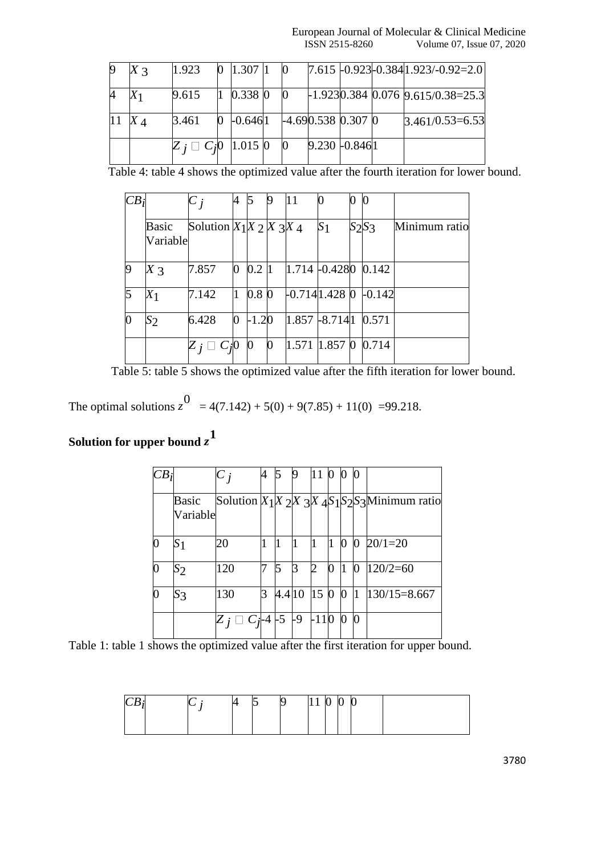| $X_3$ | 1.923                           | $0 \;   1.307 \;   1$                                                          |                          |                      |  | $7.615$ -0.923 - 0.384 1.923 / -0.92 = 2.0             |
|-------|---------------------------------|--------------------------------------------------------------------------------|--------------------------|----------------------|--|--------------------------------------------------------|
|       | 9.615                           | 0.338 0                                                                        |                          |                      |  | $\frac{1.9230.384 \cdot 0.076 \cdot 9.615}{0.38=25.3}$ |
|       | 3.461                           | $0 \begin{array}{ccc} 0 & 0.6461 \\ -0.6461 & -4.690.538 \\ 0.307 \end{array}$ |                          |                      |  | $3.461/0.53=6.53$                                      |
|       | $Z_i \square C_i 0$   1.015   0 |                                                                                | $\overline{\phantom{0}}$ | $9.230 \cdot 0.8461$ |  |                                                        |

Table 4: table 4 shows the optimized value after the fourth iteration for lower bound.

| CB             |                   | $C_{i}$                    | 4 |                  | 19 | 11    |                             | $\boldsymbol{0}$ |               |
|----------------|-------------------|----------------------------|---|------------------|----|-------|-----------------------------|------------------|---------------|
|                | Basic<br>Variable | Solution $X_1X_2X_3X_4$    |   |                  |    |       | S <sub>1</sub>              | $S_2S_3$         | Minimum ratio |
| <b>q</b>       | $X_3$             | 7.857                      | 0 | 0.21             |    |       | $1.714$ -0.4280 0.142       |                  |               |
| $\overline{5}$ | $X_1$             | 7.142                      |   | 0.8 <sub>0</sub> |    |       | $-0.714$ <sub>1.428</sub> 0 | $-0.142$         |               |
| $\bf{0}$       | $S_2$             | 6.428                      | 0 | $-1.20$          |    |       | $1.857 + 8.7141$ 0.571      |                  |               |
|                |                   | $Z$ $\,i \sqcup C$ $\!j$ 0 |   | 0                | 0  | 1.571 | $1.857$ 0 0.714             |                  |               |

Table 5: table 5 shows the optimized value after the fifth iteration for lower bound.

The optimal solutions  $z^{0}$  = 4(7.142) + 5(0) + 9(7.85) + 11(0) = 99.218.

# **Solution for upper bound** *z* **1**

| $CB_{1}$ |                   | $C_{i}$  | 4 |        |             | 11     | 0 0              |              | $\bf{0}$         |                                                       |
|----------|-------------------|----------|---|--------|-------------|--------|------------------|--------------|------------------|-------------------------------------------------------|
|          | Basic<br>Variable |          |   |        |             |        |                  |              |                  | Solution $X_1 X_2 X_3 X_4 S_1 S_2 S_3 $ Minimum ratio |
|          | S <sub>1</sub>    | 20       |   |        |             | 11     | 1                | $\bf{0}$     | $\bf{0}$         | $20/1=20$                                             |
|          | $S_{2}$           | 120      |   | 5      | ß           | 2      | $\boldsymbol{0}$ | $\mathbf{1}$ | $\boldsymbol{0}$ | $120/2=60$                                            |
|          | $S_3$             | 130      | R | 4.4 10 |             | 15 0 0 |                  |              | 11               | $130/15 = 8.667$                                      |
|          |                   | $C_i$ -4 |   | -5     | $-9$ $-110$ |        |                  | $\mathbf{0}$ | $\bf{0}$         |                                                       |

Table 1: table 1 shows the optimized value after the first iteration for upper bound.

| $\blacksquare$ | ∼ |  | N | . . | $\Omega$<br><b>V</b> | $\sim$<br>N | Ir<br>N |  |
|----------------|---|--|---|-----|----------------------|-------------|---------|--|
|                |   |  |   |     |                      |             |         |  |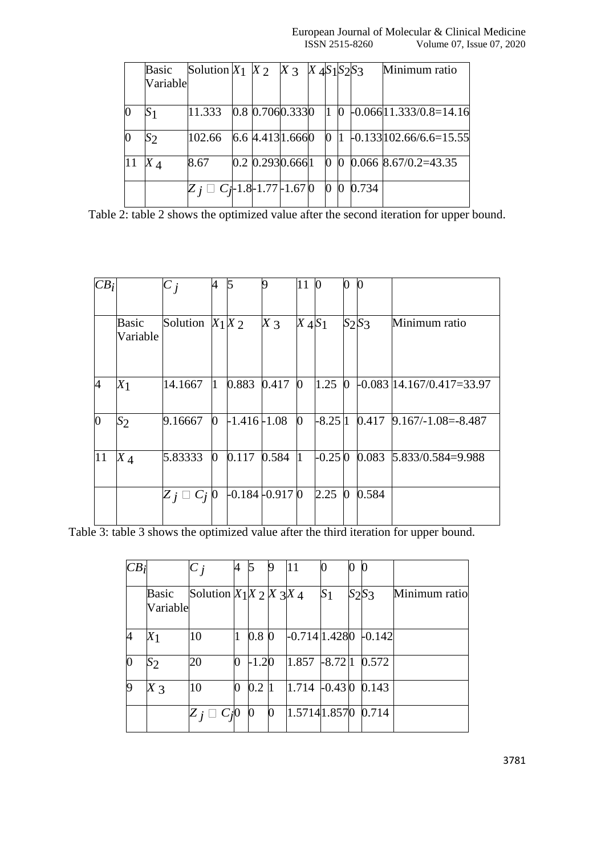|          | Basic<br>Variable | Solution $X_1$ $X_2$ $X_3$ $X_4$ $S_1$ $S_2$ $S_3$ |                  |  |              |                  |       | Minimum ratio                  |
|----------|-------------------|----------------------------------------------------|------------------|--|--------------|------------------|-------|--------------------------------|
|          |                   |                                                    |                  |  |              |                  |       |                                |
| $\Omega$ | S <sub>1</sub>    | 11.333                                             | 0.8 0.7060.3330  |  | $\mathbf{1}$ | $\bf{0}$         |       | $-0.06611.333/0.8=14.16$       |
| $\bf{0}$ | $S_2$             | 102.66                                             | 6.6 4.413 1.6660 |  | $\Omega$     |                  |       | $-0.133 102.66/6.6=15.55 $     |
| 11       | $X_{\mathcal{A}}$ | 8.67                                               | 0.2 0.2930.6661  |  |              |                  |       | $ 0, 0, 0.066, 8.67/0.2=43.35$ |
|          |                   | $Z_i \square C_i$ -1.8-1.77-1.670                  |                  |  | $\Omega$     | $\boldsymbol{0}$ | 0.734 |                                |

Table 2: table 2 shows the optimized value after the second iteration for upper bound.

| $CB_i$   |                   | $C_i$               | 4              | 5                 | 9     | 11             | $\boldsymbol{0}$ | 0            | $\boldsymbol{0}$ |                              |
|----------|-------------------|---------------------|----------------|-------------------|-------|----------------|------------------|--------------|------------------|------------------------------|
|          | Basic<br>Variable | Solution $X_1X_2$   |                |                   | $X_3$ | $X_4 S_1$      |                  |              | $S_2S_3$         | Minimum ratio                |
| 4        | $X_1$             | 14.1667             | $\overline{1}$ | 0.883             | 0.417 | $\bf{0}$       | 1.25             | $\bf{0}$     |                  | $-0.083$  14.167/0.417=33.97 |
| $\bf{0}$ | $S_2$             | 9.16667             | $\overline{0}$ | $-1.416 - 1.08$   |       | $\overline{0}$ | $-8.25 1$        |              | 0.417            | $9.167/-1.08 = -8.487$       |
| 11       | $X_4$             | 5.83333             | $\overline{0}$ | 0.117             | 0.584 | l1             | $-0.250$         |              | 0.083            | 5.833/0.584=9.988            |
|          |                   | $Z_j \square C_j 0$ |                | $-0.184 - 0.9170$ |       |                | 2.25             | $\mathbf{0}$ | 0.584            |                              |

Table 3: table 3 shows the optimized value after the third iteration for upper bound.

| CB       |                   | $C_{i}$                 | 4 |                  | 19        | 11                |           | 0 | $\boldsymbol{0}$ |               |
|----------|-------------------|-------------------------|---|------------------|-----------|-------------------|-----------|---|------------------|---------------|
|          | Basic<br>Variable | Solution $X_1X_2X_3X_4$ |   |                  |           |                   | $S_1$     |   | $S_2S_3$         | Minimum ratio |
| 4        | $X_1$             | 10                      |   | 0.8 <sub>0</sub> |           | $-0.714$   1.4280 |           |   | $-0.142$         |               |
| $\bf{0}$ | $\mathcal{S}_{2}$ | 20                      | 0 | $-1.20$          |           | 1.857             | $-8.72 1$ |   | 0.572            |               |
| 9        | $X_3$             | 10                      | 0 | 0.2              | $\vert$ 1 | $1.714$ -0.43 0   |           |   | 0.143            |               |
|          |                   |                         |   | 0                | $\bf{0}$  | 1.57141.8570      |           |   | 0.714            |               |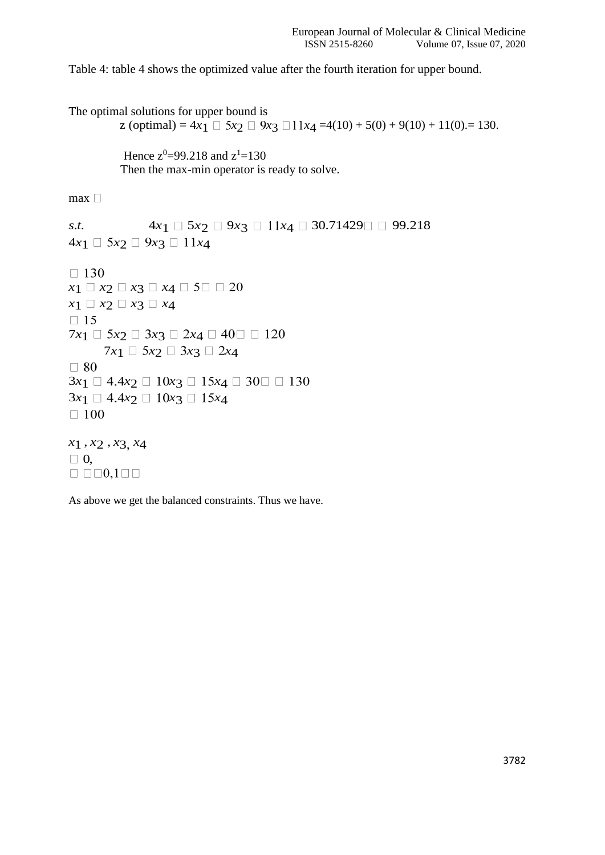Table 4: table 4 shows the optimized value after the fourth iteration for upper bound.

The optimal solutions for upper bound is  $z$  (optimal) = 4 $x_1 \square 5x_2 \square 9x_3 \square 11x_4 = 4(10) + 5(0) + 9(10) + 11(0) = 130$ . Hence  $z^0 = 99.218$  and  $z^1 = 130$  Then the max-min operator is ready to solve.  $max$ *s.t.*  $4x_1 \square 5x_2 \square 9x_3 \square 11x_4 \square 30.71429 \square 99.218$  $4x_1 \Box 5x_2 \Box 9x_3 \Box 11x_4$  $\Box$  130  $x_1 \square x_2 \square x_3 \square x_4 \square 5 \square \square 20$  $x_1 \square x_2 \square x_3 \square x_4$  $\Box$  15  $7x_1 \Box 5x_2 \Box 3x_3 \Box 2x_4 \Box 40 \Box \Box 120$  $7x_1 \square 5x_2 \square 3x_3 \square 2x_4$ <br> $\square 80$  $3x_1 \Box 4.4x_2 \Box 10x_3 \Box 15x_4 \Box 30 \Box \Box 130$  $3x_1 \Box 4.4x_2 \Box 10x_3 \Box 15x_4$ <br> $\Box 100$ *x*1 , *x*2 , *x*3, *x*4  $\begin{array}{c}\n\Box \ 0, \\
\Box \ \Box \Box 0, 1 \Box \Box\n\end{array}$ 

As above we get the balanced constraints. Thus we have.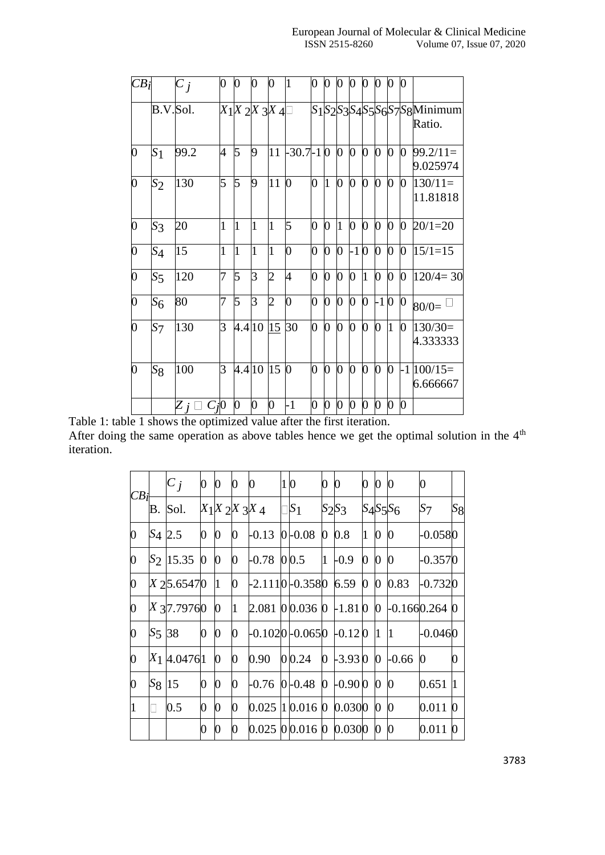| $CB_i$         |                | $\overline{C}_j$    | 0            | 0                     | 0              | 0              | 1           | 0              | 0              | 0              | 0                | 0              | 0                | 0        | $\overline{0}$   |                                   |
|----------------|----------------|---------------------|--------------|-----------------------|----------------|----------------|-------------|----------------|----------------|----------------|------------------|----------------|------------------|----------|------------------|-----------------------------------|
|                | B.V.Sol.       |                     |              | $X_1X_2X_3X_4\square$ |                |                |             |                |                |                |                  |                |                  |          |                  | S1S2S3S4S5S6S7S8Minimum<br>Ratio. |
| $\overline{0}$ | S <sub>1</sub> | 99.2                | 4            | 5                     | 9              | 11             | $-30.7-1$ 0 |                |                | $\overline{0}$ | $\bf{0}$         | $\overline{0}$ | $\overline{0}$   | 0        | $\overline{0}$   | $99.2/11=$<br>9.025974            |
| $\overline{0}$ | $S_2$          | 130                 | 5            | 5                     | 9              | 11             | $\bf{0}$    | 0              | 1              | $\overline{0}$ | $\boldsymbol{0}$ | $\overline{0}$ | $\overline{0}$   | 0        | $\overline{0}$   | $130/11=$<br>11.81818             |
| $\overline{0}$ | $S_3$          | 20                  | $\mathbf{1}$ | $\mathbf{1}$          | 1              | l1             | 5           | 0              | 0              | 1              | $\overline{0}$   | $\overline{0}$ | $\overline{0}$   | 0        | $\boldsymbol{0}$ | $20/1=20$                         |
| $\overline{0}$ | $S_4$          | 15                  | $\mathbf{1}$ | $\overline{1}$        | l1             | l1             | 0           | 0              | $\overline{0}$ | 0              | $-1$             | $\bf{0}$       | $\boldsymbol{0}$ | 0        | $\boldsymbol{0}$ | $15/1=15$                         |
| $\overline{0}$ | $S_5$          | 120                 | 7            | 5                     | 3              | $\overline{2}$ | 4           | $\overline{0}$ | $\mathbf{0}$   | $\bf{0}$       | $\mathbf{0}$     | $\overline{1}$ | $\overline{0}$   | $\bf{0}$ | $\mathbf{0}$     | $120/4=30$                        |
| $\overline{0}$ | $S_6$          | 80                  | 7            | 5                     | $\overline{3}$ | $\overline{c}$ | 0           | 0              | 0              | $\overline{0}$ | $\overline{0}$   | $\overline{0}$ | $-10$            |          | $\bf{0}$         | $80/0=$                           |
| $\overline{0}$ | $S_{7}$        | 130                 | 3            | 4.4 10                |                | 15             | 30          | 0              | $\overline{0}$ | $\overline{0}$ | $\overline{0}$   | $\overline{0}$ | $\overline{0}$   | l1       | 0                | $130/30=$<br>4.333333             |
| O              | $S_8$          | 100                 | 3            | 4.4 10                |                | 15             | $\bf{0}$    | 0              | 0              | $\overline{0}$ | $\mathbf{0}$     | $\bf{0}$       | $\overline{0}$   | $\bf{0}$ |                  | $-1 100/15=$<br>6.666667          |
| $4 - 1$        |                | $Z_j \square C_j 0$ |              | 0                     | 0              | 0              | $-1$        | 0              | $\overline{0}$ | $\overline{0}$ | $\boldsymbol{0}$ | $\overline{0}$ | $\boldsymbol{0}$ | 0        | $\bf{0}$         |                                   |

Table 1: table 1 shows the optimized value after the first iteration. After doing the same operation as above tables hence we get the optimal solution in the  $4<sup>th</sup>$ iteration.

| CB <sub>i</sub> |                    | $ C_j $              | $\boldsymbol{0}$ | $\boldsymbol{0}$ | 0              | 0                 | 10 |                                                                         | $\overline{0}$ | $\bf{0}$            | 0 <sup>0</sup> |                | $\bf{0}$         | 0              |                  |
|-----------------|--------------------|----------------------|------------------|------------------|----------------|-------------------|----|-------------------------------------------------------------------------|----------------|---------------------|----------------|----------------|------------------|----------------|------------------|
|                 |                    | B. Sol.              |                  |                  |                | $X_1X_2X_3X_4$    |    | $\Box S_1$                                                              |                | $S_2S_3$            |                |                | $S_4S_5S_6$      | S <sub>7</sub> | $S_8$            |
| 0               | S <sub>4</sub> 2.5 |                      | $\boldsymbol{0}$ | $\bf{0}$         | $\bf{0}$       | $-0.13$ 0 $-0.08$ |    |                                                                         |                | $0\,0.8$            | $\mathbf{1}$   | $\bf{0}$       | $\boldsymbol{0}$ | $-0.0580$      |                  |
| 0               |                    | S <sub>2</sub> 15.35 | $\bf{0}$         | $\bf{0}$         | $\bf{0}$       | $-0.78$ 00.5      |    |                                                                         |                | $1 - 0.9$           | $\overline{0}$ | $\mathbf{0}$   | $\mathbf{0}$     | $-0.3570$      |                  |
| 0               |                    | X 25.65470           |                  | $\vert$ 1        | $\overline{0}$ |                   |    | $\frac{1}{2}$ .1110 $\leftarrow$ 0.3580 6.59 0 0 0.83                   |                |                     |                |                |                  | $-0.7320$      |                  |
| 0               |                    | $X$ 37.79760         |                  | $\boldsymbol{0}$ | $\vert$ 1      |                   |    | $2.081$   0   0.036   0   - 1.81   0   0   - 0.166   0.264   0          |                |                     |                |                |                  |                |                  |
| 0               | S <sub>5</sub> 38  |                      | $\boldsymbol{0}$ | $\boldsymbol{0}$ | 0              |                   |    | $\left  -0.102 \right  0.065 \left  0.12 \right  0 \left  1 \right  1$  |                |                     |                |                |                  | $-0.0460$      |                  |
| 0               |                    | $X_1$ 4.04761        |                  | $\boldsymbol{0}$ | $\overline{0}$ | 0.90              |    | 0 0.24                                                                  |                | $0$ -3.93 0 0 -0.66 |                |                |                  | 0              | $\boldsymbol{0}$ |
| 0               | $S_8$ 15           |                      | 0                | $\boldsymbol{0}$ | $\bf{0}$       |                   |    | $\left[0.76\right]0\left[0.48\right]0\left[0.90\right]0\left[0\right]0$ |                |                     |                |                |                  | 0.651          | 1                |
|                 |                    | 0.5                  | 0                | 0                | 0              |                   |    | $0.025$ 1 0.016 0 0.0300                                                |                |                     |                | $\mathbf{0}$   | $\bf{0}$         | 0.011          | $\boldsymbol{0}$ |
|                 |                    |                      | 0                |                  | 0              |                   |    | 0.025 00.016 0 0.0300                                                   |                |                     |                | $\overline{0}$ | $\mathbf{0}$     | 0.011          | 0                |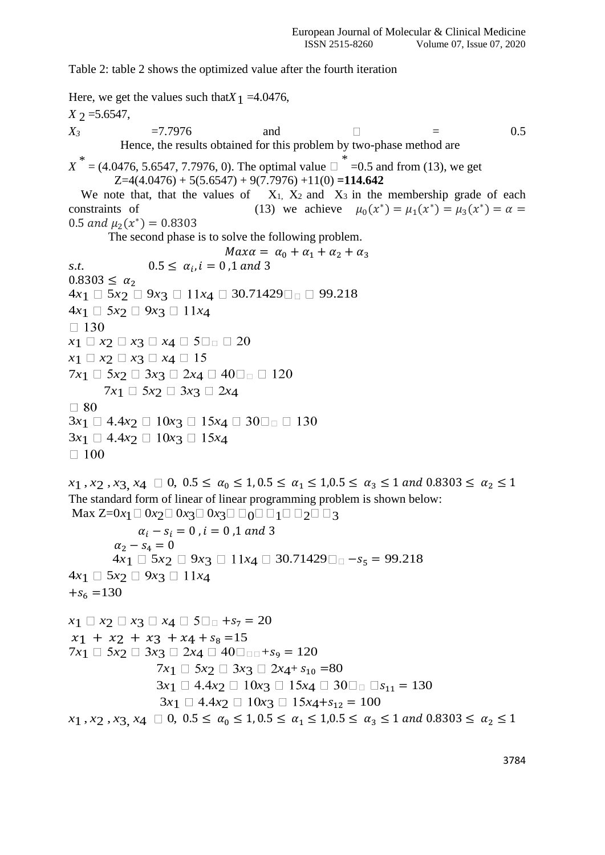Table 2: table 2 shows the optimized value after the fourth iteration

Here, we get the values such that  $X_1 = 4.0476$ ,  $X \, \gamma = 5.6547$ ,  $X_3$  =7.7976 and  $\Box$  = 0.5 Hence, the results obtained for this problem by two-phase method are  $X^* = (4.0476, 5.6547, 7.7976, 0)$ . The optimal value  $\Box$  =0.5 and from (13), we get  $Z=4(4.0476) + 5(5.6547) + 9(7.7976) +11(0) = 114.642$ We note that, that the values of  $X_1, X_2$  and  $X_3$  in the membership grade of each constraints of (13) we achieve  $\mu_0(x^*) = \mu_1(x^*) = \mu_3(x^*) = \alpha =$ 0.5 and  $\mu_2(x^*) = 0.8303$  The second phase is to solve the following problem.  $Max\alpha = \alpha_0 + \alpha_1 + \alpha_2 + \alpha_3$ *s.t.*  $0.5 \le \alpha_i, i = 0, 1 \text{ and } 3$  $0.8303 \leq \alpha_2$  $4x_1 \Box 5x_2 \Box 9x_3 \Box 11x_4 \Box 30.71429 \Box \Box 99.218$  $4x_1 \Box 5x_2 \Box 9x_3 \Box 11x_4$  $\Box$  130  $x_1 \square x_2 \square x_3 \square x_4 \square 5 \square \square 20$  $x_1 \square x_2 \square x_3 \square x_4 \square 15$  $7x_1 \Box 5x_2 \Box 3x_3 \Box 2x_4 \Box 40 \Box \Box \Box 120$  $7x_1 \Box 5x_2 \Box 3x_3 \Box 2x_4$  $\Box$  80  $3x_1 \Box 4.4x_2 \Box 10x_3 \Box 15x_4 \Box 30 \Box_0 \Box 130$  $3x_1 \Box 4.4x_2 \Box 10x_3 \Box 15x_4$  $\square$  100  $x_1$ ,  $x_2$ ,  $x_3$ ,  $x_4 \square 0$ ,  $0.5 \le \alpha_0 \le 1, 0.5 \le \alpha_1 \le 1, 0.5 \le \alpha_3 \le 1$  and  $0.8303 \le \alpha_2 \le 1$ The standard form of linear of linear programming problem is shown below: Max  $Z=0x_1 \square 0x_2 \square 0x_3 \square 0x_3 \square \square_0 \square \square_1 \square \square_2 \square \square_3$  $\alpha_i - s_i = 0$ ,  $i = 0$ , 1 and 3  $\alpha_2 - s_4 = 0$ 4*x*<sub>1</sub>  $\Box$  5*x*<sub>2</sub>  $\Box$  9*x*<sub>3</sub>  $\Box$  11*x*<sub>4</sub>  $\Box$  30.71429 $\Box$  −*s*<sub>5</sub> = 99.218  $4x_1 \Box 5x_2 \Box 9x_3 \Box 11x_4$  $+s_6 = 130$  $x_1 \Box x_2 \Box x_3 \Box x_4 \Box 5 \Box \Box +s_7 = 20$  $x_1 + x_2 + x_3 + x_4 + s_8 = 15$  $7x_1 \Box 5x_2 \Box 3x_3 \Box 2x_4 \Box 40 \Box_{\Box \Box} + s_9 = 120$  $7x_1 \Box 5x_2 \Box 3x_3 \Box 2x_4 + s_{10} = 80$  $3x_1 \Box 4.4x_2 \Box 10x_3 \Box 15x_4 \Box 30 \Box_0 \Box s_{11} = 130$  $3x_1 \Box 4.4x_2 \Box 10x_3 \Box 15x_4 + s_{12} = 100$  $x_1$ ,  $x_2$ ,  $x_3$ ,  $x_4 \square 0$ ,  $0.5 \le \alpha_0 \le 1$ ,  $0.5 \le \alpha_1 \le 1$ ,  $0.5 \le \alpha_3 \le 1$  and  $0.8303 \le \alpha_2 \le 1$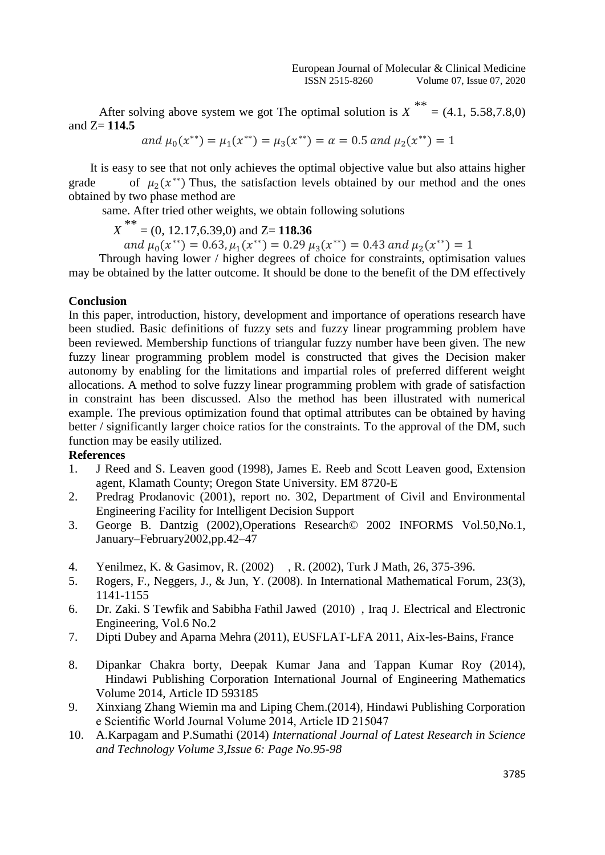After solving above system we got The optimal solution is  $X^{**} = (4.1, 5.58, 7.8, 0)$ and Z= **114.5**

and  $\mu_0(x^{**}) = \mu_1(x^{**}) = \mu_3(x^{**}) = \alpha = 0.5$  and  $\mu_2(x^{**}) = 1$ 

 It is easy to see that not only achieves the optimal objective value but also attains higher grade of  $\mu_2(x^{**})$  Thus, the satisfaction levels obtained by our method and the ones obtained by two phase method are

same. After tried other weights, we obtain following solutions

*<sup>X</sup>*\*\* = (0, 12.17,6.39,0) and Z= **118.36**

and  $\mu_0(x^{**}) = 0.63$ ,  $\mu_1(x^{**}) = 0.29$   $\mu_3(x^{**}) = 0.43$  and  $\mu_2(x^{**}) = 1$ 

 Through having lower / higher degrees of choice for constraints, optimisation values may be obtained by the latter outcome. It should be done to the benefit of the DM effectively

### **Conclusion**

In this paper, introduction, history, development and importance of operations research have been studied. Basic definitions of fuzzy sets and fuzzy linear programming problem have been reviewed. Membership functions of triangular fuzzy number have been given. The new fuzzy linear programming problem model is constructed that gives the Decision maker autonomy by enabling for the limitations and impartial roles of preferred different weight allocations. A method to solve fuzzy linear programming problem with grade of satisfaction in constraint has been discussed. Also the method has been illustrated with numerical example. The previous optimization found that optimal attributes can be obtained by having better / significantly larger choice ratios for the constraints. To the approval of the DM, such function may be easily utilized.

# **References**

- 1. J Reed and S. Leaven good (1998), James E. Reeb and Scott Leaven good, Extension agent, Klamath County; Oregon State University. EM 8720-E
- 2. Predrag Prodanovic (2001), report no. 302, Department of Civil and Environmental Engineering Facility for Intelligent Decision Support
- 3. George B. Dantzig (2002),Operations Research© 2002 INFORMS Vol.50,No.1, January–February2002,pp.42–47
- 4. Yenilmez, K. & Gasimov, R. (2002) , R. (2002), Turk J Math, 26, 375-396.
- 5. Rogers, F., Neggers, J., & Jun, Y. (2008). In International Mathematical Forum, 23(3), 1141-1155
- 6. Dr. Zaki. S Tewfik and Sabibha Fathil Jawed (2010) , Iraq J. Electrical and Electronic Engineering, Vol.6 No.2
- 7. Dipti Dubey and Aparna Mehra (2011), EUSFLAT-LFA 2011, Aix-les-Bains, France
- 8. Dipankar Chakra borty, Deepak Kumar Jana and Tappan Kumar Roy (2014), Hindawi Publishing Corporation International Journal of Engineering Mathematics Volume 2014, Article ID 593185
- 9. Xinxiang Zhang Wiemin ma and Liping Chem.(2014), Hindawi Publishing Corporation e Scientific World Journal Volume 2014, Article ID 215047
- 10. A.Karpagam and P.Sumathi (2014) *International Journal of Latest Research in Science and Technology Volume 3,Issue 6: Page No.95-98*